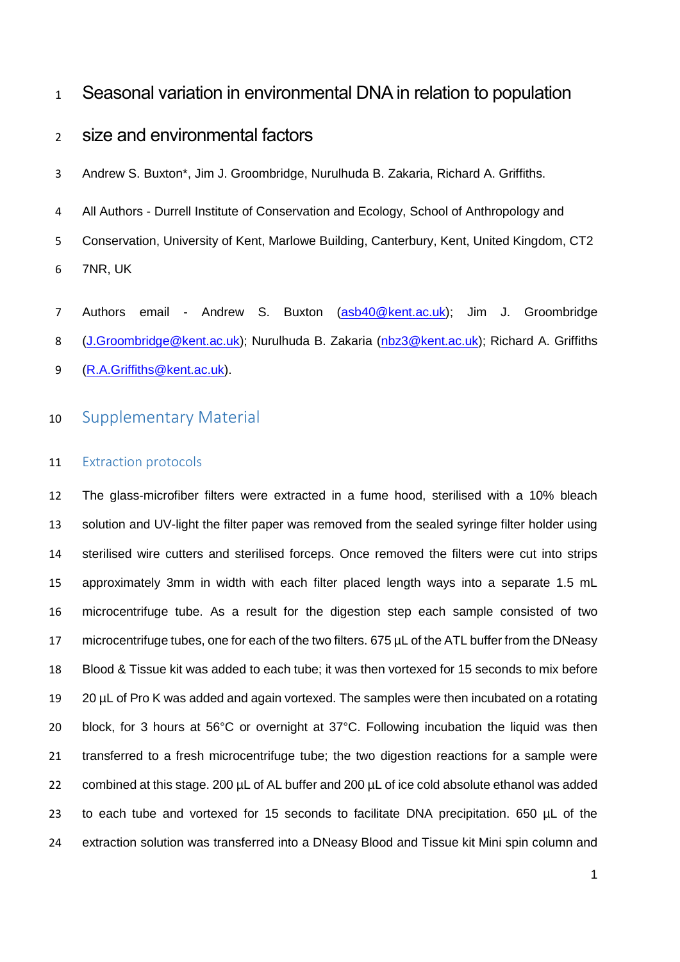## Seasonal variation in environmental DNA in relation to population

# size and environmental factors

Andrew S. Buxton\*, Jim J. Groombridge, Nurulhuda B. Zakaria, Richard A. Griffiths.

- All Authors Durrell Institute of Conservation and Ecology, School of Anthropology and Conservation, University of Kent, Marlowe Building, Canterbury, Kent, United Kingdom, CT2 7NR, UK
- 7 Authors email Andrew S. Buxton [\(asb40@kent.ac.uk\)](mailto:asb40@kent.ac.uk); Jim J. Groombridge [\(J.Groombridge@kent.ac.uk\)](mailto:J.Groombridge@kent.ac.uk); Nurulhuda B. Zakaria [\(nbz3@kent.ac.uk\)](mailto:nbz3@kent.ac.uk); Richard A. Griffiths [\(R.A.Griffiths@kent.ac.uk\)](mailto:R.A.Griffiths@kent.ac.uk).

### Supplementary Material

#### 11 Extraction protocols

 The glass-microfiber filters were extracted in a fume hood, sterilised with a 10% bleach solution and UV-light the filter paper was removed from the sealed syringe filter holder using sterilised wire cutters and sterilised forceps. Once removed the filters were cut into strips approximately 3mm in width with each filter placed length ways into a separate 1.5 mL microcentrifuge tube. As a result for the digestion step each sample consisted of two 17 microcentrifuge tubes, one for each of the two filters. 675 µL of the ATL buffer from the DNeasy Blood & Tissue kit was added to each tube; it was then vortexed for 15 seconds to mix before 20 µL of Pro K was added and again vortexed. The samples were then incubated on a rotating block, for 3 hours at 56°C or overnight at 37°C. Following incubation the liquid was then transferred to a fresh microcentrifuge tube; the two digestion reactions for a sample were 22 combined at this stage. 200  $\mu$ L of AL buffer and 200  $\mu$ L of ice cold absolute ethanol was added 23 to each tube and vortexed for 15 seconds to facilitate DNA precipitation. 650  $\mu$ L of the extraction solution was transferred into a DNeasy Blood and Tissue kit Mini spin column and